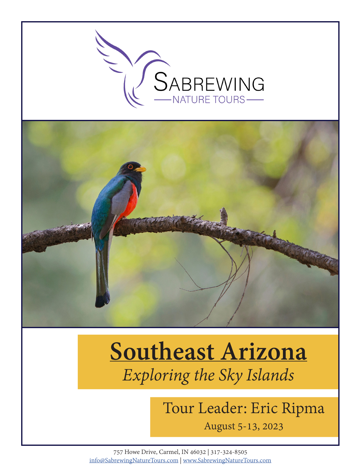

# **Southeast Arizona** *Exploring the Sky Islands*

## Tour Leader: Eric Ripma

August 5-13, 2023

757 Howe Drive, Carmel, IN 46032 | 317-324-8505 info@SabrewingNatureTours.com | www.SabrewingNatureTours.com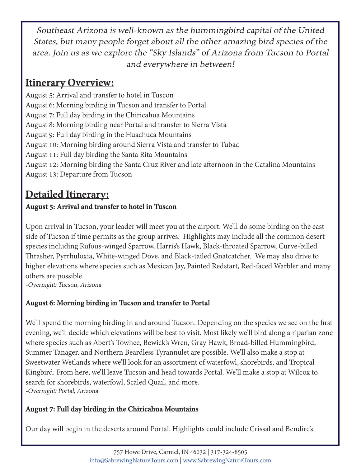Southeast Arizona is well-known as the hummingbird capital of the United States, but many people forget about all the other amazing bird species of the area. Join us as we explore the "Sky Islands" of Arizona from Tucson to Portal and everywhere in between!

## **Itinerary Overview:**

August 5: Arrival and transfer to hotel in Tuscon August 6: Morning birding in Tucson and transfer to Portal August 7: Full day birding in the Chiricahua Mountains August 8: Morning birding near Portal and transfer to Sierra Vista August 9: Full day birding in the Huachuca Mountains August 10: Morning birding around Sierra Vista and transfer to Tubac August 11: Full day birding the Santa Rita Mountains August 12: Morning birding the Santa Cruz River and late afternoon in the Catalina Mountains August 13: Departure from Tucson

## **Detailed Itinerary:**

#### **August 5: Arrival and transfer to hotel in Tuscon**

Upon arrival in Tucson, your leader will meet you at the airport. We'll do some birding on the east side of Tucson if time permits as the group arrives. Highlights may include all the common desert species including Rufous-winged Sparrow, Harris's Hawk, Black-throated Sparrow, Curve-billed Thrasher, Pyrrhuloxia, White-winged Dove, and Black-tailed Gnatcatcher. We may also drive to higher elevations where species such as Mexican Jay, Painted Redstart, Red-faced Warbler and many others are possible.

-Overnight: Tucson, Arizona

#### **August 6: Morning birding in Tucson and transfer to Portal**

We'll spend the morning birding in and around Tucson. Depending on the species we see on the first evening, we'll decide which elevations will be best to visit. Most likely we'll bird along a riparian zone where species such as Abert's Towhee, Bewick's Wren, Gray Hawk, Broad-billed Hummingbird, Summer Tanager, and Northern Beardless Tyrannulet are possible. We'll also make a stop at Sweetwater Wetlands where we'll look for an assortment of waterfowl, shorebirds, and Tropical Kingbird. From here, we'll leave Tucson and head towards Portal. We'll make a stop at Wilcox to search for shorebirds, waterfowl, Scaled Quail, and more. -Overnight: Portal, Arizona

#### **August 7: Full day birding in the Chiricahua Mountains**

Our day will begin in the deserts around Portal. Highlights could include Crissal and Bendire's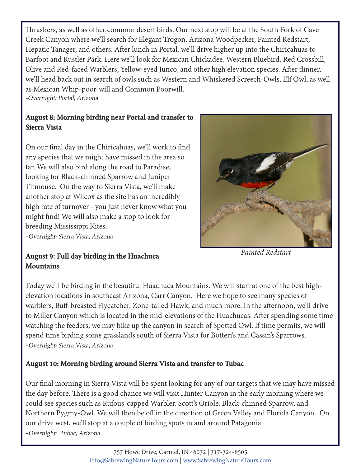Thrashers, as well as other common desert birds. Our next stop will be at the South Fork of Cave Creek Canyon where we'll search for Elegant Trogon, Arizona Woodpecker, Painted Redstart, Hepatic Tanager, and others. After lunch in Portal, we'll drive higher up into the Chiricahuas to Barfoot and Rustler Park. Here we'll look for Mexican Chickadee, Western Bluebird, Red Crossbill, Olive and Red-faced Warblers, Yellow-eyed Junco, and other high elevation species. After dinner, we'll head back out in search of owls such as Western and Whiskered Screech-Owls, Elf Owl, as well as Mexican Whip-poor-will and Common Poorwill. -Overnight: Portal, Arizona

#### **August 8: Morning birding near Portal and transfer to Sierra Vista**

On our final day in the Chiricahuas, we'll work to find any species that we might have missed in the area so far. We will also bird along the road to Paradise, looking for Black-chinned Sparrow and Juniper Titmouse. On the way to Sierra Vista, we'll make another stop at Wilcox as the site has an incredibly high rate of turnover - you just never know what you might find! We will also make a stop to look for breeding Mississippi Kites.

-Overnight: Sierra Vista, Arizona

#### **August 9: Full day birding in the Huachuca Mountains**

*Painted Redstart*

Today we'll be birding in the beautiful Huachuca Mountains. We will start at one of the best highelevation locations in southeast Arizona, Carr Canyon. Here we hope to see many species of warblers, Buff-breasted Flycatcher, Zone-tailed Hawk, and much more. In the afternoon, we'll drive to Miller Canyon which is located in the mid-elevations of the Huachucas. After spending some time watching the feeders, we may hike up the canyon in search of Spotted Owl. If time permits, we will spend time birding some grasslands south of Sierra Vista for Botteri's and Cassin's Sparrows. -Overnight: Sierra Vista, Arizona

#### **August 10: Morning birding around Sierra Vista and transfer to Tubac**

Our final morning in Sierra Vista will be spent looking for any of our targets that we may have missed the day before. There is a good chance we will visit Hunter Canyon in the early morning where we could see species such as Rufous-capped Warbler, Scott's Oriole, Black-chinned Sparrow, and Northern Pygmy-Owl. We will then be off in the direction of Green Valley and Florida Canyon. On our drive west, we'll stop at a couple of birding spots in and around Patagonia. -Overnight: Tubac, Arizona

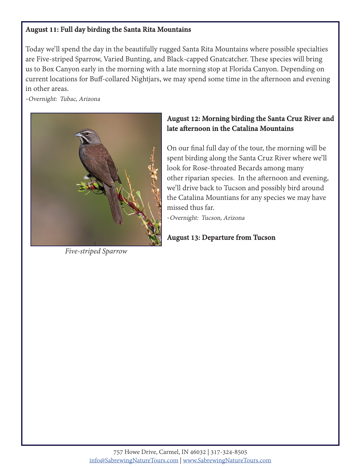#### **August 11: Full day birding the Santa Rita Mountains**

Today we'll spend the day in the beautifully rugged Santa Rita Mountains where possible specialties are Five-striped Sparrow, Varied Bunting, and Black-capped Gnatcatcher. These species will bring us to Box Canyon early in the morning with a late morning stop at Florida Canyon. Depending on current locations for Buff-collared Nightjars, we may spend some time in the afternoon and evening in other areas.

-Overnight: Tubac, Arizona



*Five-striped Sparrow*

#### **August 12: Morning birding the Santa Cruz River and late afternoon in the Catalina Mountains**

On our final full day of the tour, the morning will be spent birding along the Santa Cruz River where we'll look for Rose-throated Becards among many other riparian species. In the afternoon and evening, we'll drive back to Tucson and possibly bird around the Catalina Mountians for any species we may have missed thus far.

-Overnight: Tucson, Arizona

#### **August 13: Departure from Tucson**